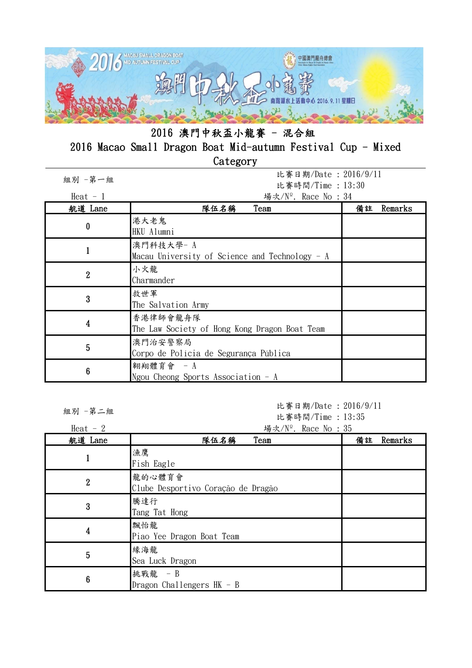

| 組別 一第一組                 | 比賽日期/Date: 2016/9/11<br>比賽時間/Time: 13:30                      |               |
|-------------------------|---------------------------------------------------------------|---------------|
| Heat $-1$               | 場次/N <sup>o</sup> . Race No : 34                              |               |
| 航道 Lane                 | 隊伍名稱<br>Team                                                  | 備註<br>Remarks |
| 0                       | 港大老鬼<br>HKU Alumni                                            |               |
|                         | 澳門科技大學- A<br>Macau University of Science and Technology $- A$ |               |
| $\overline{2}$          | 小火龍<br>Charmander                                             |               |
| $\mathbf 3$             | 救世軍<br>The Salvation Army                                     |               |
| $\overline{\mathbf{4}}$ | 香港律師會龍舟隊<br>The Law Society of Hong Kong Dragon Boat Team     |               |
| 5                       | 澳門治安警察局<br>Corpo de Polícia de Segurança Pública              |               |
| 6                       | 翱翔體育會 - A<br>Ngou Cheong Sports Association $-A$              |               |

組別 -第二組

比賽日期/Date : 2016/9/11 比賽時間/Time : 13:35

| Heat $-2$      | 場次/N <sup>o</sup> . Race No: 35              |               |
|----------------|----------------------------------------------|---------------|
| 航道 Lane        | 隊伍名稱<br>Team                                 | 備註<br>Remarks |
|                | 漁鷹<br>Fish Eagle                             |               |
| $\overline{2}$ | 龍的心體育會<br>Clube Desportivo Coração de Dragão |               |
| 3              | 騰達行<br>Tang Tat Hong                         |               |
| 4              | 飄怡龍<br>Piao Yee Dragon Boat Team             |               |
| 5              | 緣海龍<br>Sea Luck Dragon                       |               |
| 6              | 挑戰龍 - B<br>Dragon Challengers $HK - B$       |               |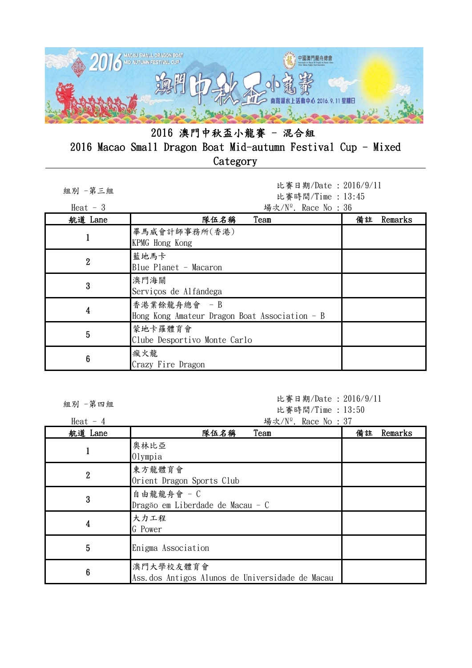

| 組別 -第三組<br>Heat $-3$ | 比賽日期/Date: 2016/9/11<br>比賽時間/Time: 13:45<br>場次/ $N^{\circ}$ . Race No : 36 |               |
|----------------------|----------------------------------------------------------------------------|---------------|
| 航道 Lane              | 隊伍名稱<br>Team                                                               | Remarks<br>備註 |
|                      | 畢馬威會計師事務所(香港)<br>KPMG Hong Kong                                            |               |
| $\overline{2}$       | 藍地馬卡<br>Blue Planet - Macaron                                              |               |
| 3                    | 澳門海關<br>Serviços de Alfândega                                              |               |
| 4                    | 香港業餘龍舟總會 - B<br>Hong Kong Amateur Dragon Boat Association - B              |               |
| 5                    | 蒙地卡羅體育會<br>Clube Desportivo Monte Carlo                                    |               |
| $6\phantom{1}6$      | 瘋火龍<br>Crazy Fire Dragon                                                   |               |

組別 -第四組

比賽日期/Date : 2016/9/11 比賽時間/Time : 13:50

Heat - 4  $\frac{1}{2}$  Heat - 4  $\frac{1}{2}$  Race No : 37 航道 Lane 隊伍名稱 Team 備註 Remarks <sup>1</sup> 奧林比亞 Olympia <sup>2</sup> 東方龍體育會 Orient Dragon Sports Club 3 自由龍龍舟會 - C Dragăo em Liberdade de Macau - C 4 大力工程

|   | 兴杯比空<br>Olympia                                               |  |
|---|---------------------------------------------------------------|--|
| 2 | 東方龍體育會<br>Orient Dragon Sports Club                           |  |
| 3 | 自由龍龍舟會 - C<br>Dragão em Liberdade de Macau - C                |  |
| 4 | 大力工程<br>G Power                                               |  |
| 5 | Enigma Association                                            |  |
| 6 | 澳門大學校友體育會<br>Ass. dos Antigos Alunos de Universidade de Macau |  |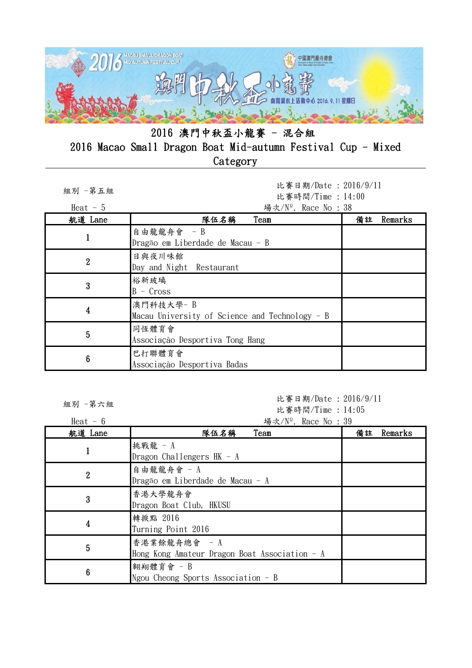

| 組別 一第五組        | 比賽日期/Date: 2016/9/11<br>比賽時間/Time: 14:00                      |               |
|----------------|---------------------------------------------------------------|---------------|
| Heat $-5$      | 場次/Nº. Race No: 38                                            |               |
| 航道 Lane        | 隊伍名稱<br>Team                                                  | 備註<br>Remarks |
|                | 自由龍龍舟會 - B<br>Dragão em Liberdade de Macau - B                |               |
| $\overline{2}$ | 日與夜川味館<br>Day and Night Restaurant                            |               |
| 3              | 裕新玻璃<br>$B - Cross$                                           |               |
| 4              | 澳門科技大學- B<br>Macau University of Science and Technology $- B$ |               |
| 5              | 同恆體育會<br>Associação Desportiva Tong Hang                      |               |
| 6              | 巴打聯體育會<br>Associação Desportiva Badas                         |               |

組別 -第六組

比賽日期/Date : 2016/9/11 比賽時間/Time : 14:05

| Heat $-6$        | 場次/N <sup>o</sup> . Race No: 39                                |               |
|------------------|----------------------------------------------------------------|---------------|
| 航道 Lane          | 隊伍名稱<br>Team                                                   | 備註<br>Remarks |
|                  | 挑戰龍 - A<br>Dragon Challengers $HK - A$                         |               |
| $\boldsymbol{2}$ | 自由龍龍舟會 - A<br>Dragão em Liberdade de Macau - A                 |               |
| 3                | 香港大學龍舟會<br>Dragon Boat Club, HKUSU                             |               |
| 4                | 轉捩點 2016<br>Turning Point 2016                                 |               |
| 5                | 香港業餘龍舟總會 - A<br>Hong Kong Amateur Dragon Boat Association $-A$ |               |
| 6                | 翱翔體育會 - B<br>Ngou Cheong Sports Association $- B$              |               |